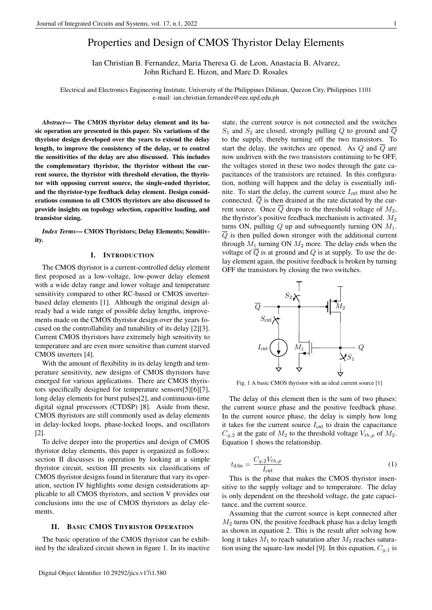# Properties and Design of CMOS Thyristor Delay Elements

Ian Christian B. Fernandez, Maria Theresa G. de Leon, Anastacia B. Alvarez, John Richard E. Hizon, and Marc D. Rosales

Electrical and Electronics Engineering Institute, University of the Philippines Diliman, Quezon City, Philippines 1101 e-mail: ian.christian.fernandez@eee.upd.edu.ph

*Abstract*— The CMOS thyristor delay element and its basic operation are presented in this paper. Six variations of the thyristor design developed over the years to extend the delay length, to improve the consistency of the delay, or to control the sensitivities of the delay are also discussed. This includes the complementary thyristor, the thyristor without the current source, the thyristor with threshold elevation, the thyristor with opposing current source, the single-ended thyristor, and the thyristor-type feedback delay element. Design considerations common to all CMOS thyristors are also discussed to provide insights on topology selection, capacitive loading, and transistor sizing.

*Index Terms*— CMOS Thyristors; Delay Elements; Sensitivity.

#### I. INTRODUCTION

The CMOS thyristor is a current-controlled delay element first proposed as a low-voltage, low-power delay element with a wide delay range and lower voltage and temperature sensitivity compared to other RC-based or CMOS inverterbased delay elements [\[1\]](#page-5-0). Although the original design already had a wide range of possible delay lengths, improvements made on the CMOS thyristor design over the years focused on the controllability and tunability of its delay [\[2\]](#page-5-1)[\[3\]](#page-5-2). Current CMOS thyristors have extremely high sensitivity to temperature and are even more sensitive than current starved CMOS inverters [\[4\]](#page-5-3).

With the amount of flexibility in its delay length and temperature sensitivity, new designs of CMOS thyristors have emerged for various applications. There are CMOS thyristors specifically designed for temperature sensors[\[5\]](#page-5-4)[\[6\]](#page-6-0)[\[7\]](#page-6-1), long delay elements for burst pulses[\[2\]](#page-5-1), and continuous-time digital signal processors (CTDSP) [\[8\]](#page-6-2). Aside from these, CMOS thyristors are still commonly used as delay elements in delay-locked loops, phase-locked loops, and oscillators [\[2\]](#page-5-1).

To delve deeper into the properties and design of CMOS thyristor delay elements, this paper is organized as follows: section II discusses its operation by looking at a simple thyristor circuit, section III presents six classifications of CMOS thyristor designs found in literature that vary its operation, section IV highlights some design considerations applicable to all CMOS thyristors, and section V provides our conclusions into the use of CMOS thyristors as delay elements.

# II. BASIC CMOS THYRISTOR OPERATION

The basic operation of the CMOS thyristor can be exhibited by the idealized circuit shown in figure [1.](#page-0-0) In its inactive state, the current source is not connected and the switches  $S_1$  and  $S_2$  are closed, strongly pulling Q to ground and  $\overline{Q}$ to the supply, thereby turning off the two transistors. To start the delay, the switches are opened. As Q and  $\overline{Q}$  are now undriven with the two transistors continuing to be OFF, the voltages stored in these two nodes through the gate capacitances of the transistors are retained. In this configuration, nothing will happen and the delay is essentially infinite. To start the delay, the current source  $I_{\text{ctrl}}$  must also be connected. Q is then drained at the rate dictated by the current source. Once  $\overline{Q}$  drops to the threshold voltage of  $M_2$ , the thyristor's positive feedback mechanism is activated.  $M_2$ turns ON, pulling  $Q$  up and subsequently turning ON  $M_1$ .  $\overline{Q}$  is then pulled down stronger with the additional current through  $M_1$  turning ON  $M_2$  more. The delay ends when the voltage of  $\overline{Q}$  is at ground and  $Q$  is at supply. To use the delay element again, the positive feedback is broken by turning OFF the transistors by closing the two switches.



<span id="page-0-0"></span>Fig. 1 A basic CMOS thyristor with an ideal current source [\[1\]](#page-5-0)

The delay of this element then is the sum of two phases: the current source phase and the positive feedback phase. In the current source phase, the delay is simply how long it takes for the current source  $I_{\text{ctrl}}$  to drain the capacitance  $C_{q,2}$  at the gate of  $M_2$  to the threshold voltage  $V_{th,p}$  of  $M_2$ . Equation [1](#page-0-1) shows the relationship.

<span id="page-0-1"></span>
$$
t_{\rm d,lin} = \frac{C_{g,2} V_{th,p}}{I_{\rm crit}}\tag{1}
$$

This is the phase that makes the CMOS thyristor insensitive to the supply voltage and to temperature. The delay is only dependent on the threshold voltage, the gate capacitance, and the current source.

Assuming that the current source is kept connected after  $M<sub>2</sub>$  turns ON, the positive feedback phase has a delay length as shown in equation [2.](#page-1-0) This is the result after solving how long it takes  $M_1$  to reach saturation after  $M_2$  reaches satura-tion using the square-law model [\[9\]](#page-6-3). In this equation,  $C_{g,1}$  is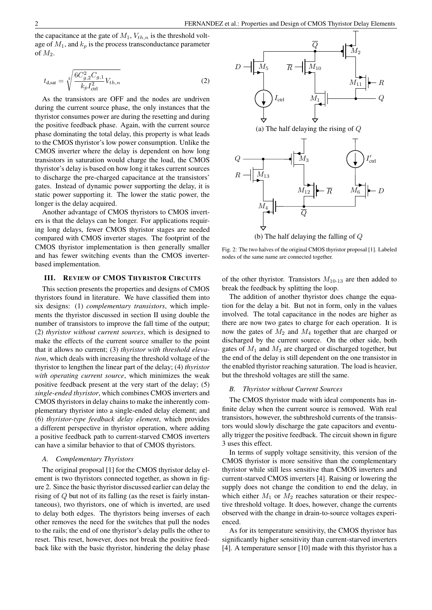the capacitance at the gate of  $M_1$ ,  $V_{th,n}$  is the threshold voltage of  $M_1$ , and  $k_p$  is the process transconductance parameter of  $M_2$ .

<span id="page-1-0"></span>
$$
t_{\rm d,sat} = \sqrt[3]{\frac{6C_{g,2}^2 C_{g,1}}{k_p I_{\rm ctl}^2} V_{th,n}}
$$
(2)

As the transistors are OFF and the nodes are undriven during the current source phase, the only instances that the thyristor consumes power are during the resetting and during the positive feedback phase. Again, with the current source phase dominating the total delay, this property is what leads to the CMOS thyristor's low power consumption. Unlike the CMOS inverter where the delay is dependent on how long transistors in saturation would charge the load, the CMOS thyristor's delay is based on how long it takes current sources to discharge the pre-charged capacitance at the transistors' gates. Instead of dynamic power supporting the delay, it is static power supporting it. The lower the static power, the longer is the delay acquired.

Another advantage of CMOS thyristors to CMOS inverters is that the delays can be longer. For applications requiring long delays, fewer CMOS thyristor stages are needed compared with CMOS inverter stages. The footprint of the CMOS thyristor implementation is then generally smaller and has fewer switching events than the CMOS inverterbased implementation.

#### III. REVIEW OF CMOS THYRISTOR CIRCUITS

This section presents the properties and designs of CMOS thyristors found in literature. We have classified them into six designs: (1) *complementary transistors*, which implements the thyristor discussed in section II using double the number of transistors to improve the fall time of the output; (2) *thyristor without current sources*, which is designed to make the effects of the current source smaller to the point that it allows no current; (3) *thyristor with threshold elevation*, which deals with increasing the threshold voltage of the thyristor to lengthen the linear part of the delay; (4) *thyristor with operating current source*, which minimizes the weak positive feedback present at the very start of the delay; (5) *single-ended thyristor*, which combines CMOS inverters and CMOS thyristors in delay chains to make the inherently complementary thyristor into a single-ended delay element; and (6) *thyristor-type feedback delay element*, which provides a different perspective in thyristor operation, where adding a positive feedback path to current-starved CMOS inverters can have a similar behavior to that of CMOS thyristors.

#### *A. Complementary Thyristors*

The original proposal [\[1\]](#page-5-0) for the CMOS thyristor delay element is two thyristors connected together, as shown in figure [2.](#page-1-1) Since the basic thyristor discussed earlier can delay the rising of  $\ddot{Q}$  but not of its falling (as the reset is fairly instantaneous), two thyristors, one of which is inverted, are used to delay both edges. The thyristors being inverses of each other removes the need for the switches that pull the nodes to the rails; the end of one thyristor's delay pulls the other to reset. This reset, however, does not break the positive feedback like with the basic thyristor, hindering the delay phase



<span id="page-1-1"></span>Fig. 2: The two halves of the original CMOS thyristor proposal [\[1\]](#page-5-0). Labeled nodes of the same name are connected together.

of the other thyristor. Transistors  $M_{10-13}$  are then added to break the feedback by splitting the loop.

The addition of another thyristor does change the equation for the delay a bit. But not in form, only in the values involved. The total capacitance in the nodes are higher as there are now two gates to charge for each operation. It is now the gates of  $M_2$  and  $M_4$  together that are charged or discharged by the current source. On the other side, both gates of  $M_1$  and  $M_3$  are charged or discharged together, but the end of the delay is still dependent on the one transistor in the enabled thyristor reaching saturation. The load is heavier, but the threshold voltages are still the same.

#### *B. Thyristor without Current Sources*

The CMOS thyristor made with ideal components has infinite delay when the current source is removed. With real transistors, however, the subthreshold currents of the transistors would slowly discharge the gate capacitors and eventually trigger the positive feedback. The circuit shown in figure [3](#page-2-0) uses this effect.

In terms of supply voltage sensitivity, this version of the CMOS thyristor is more sensitive than the complementary thyristor while still less sensitive than CMOS inverters and current-starved CMOS inverters [\[4\]](#page-5-3). Raising or lowering the supply does not change the condition to end the delay, in which either  $M_1$  or  $M_2$  reaches saturation or their respective threshold voltage. It does, however, change the currents observed with the change in drain-to-source voltages experienced.

As for its temperature sensitivity, the CMOS thyristor has significantly higher sensitivity than current-starved inverters [\[4\]](#page-5-3). A temperature sensor [\[10\]](#page-6-4) made with this thyristor has a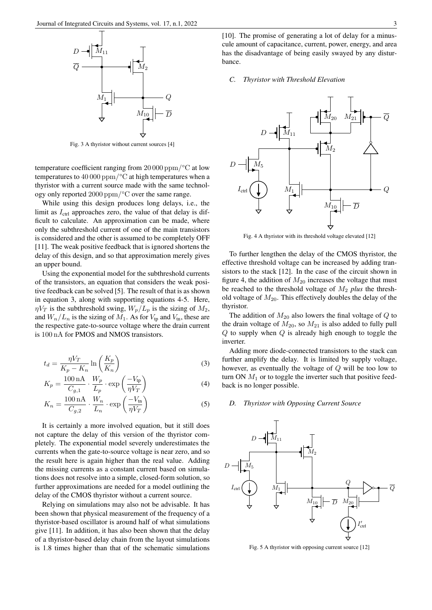

<span id="page-2-0"></span>Fig. 3 A thyristor without current sources [\[4\]](#page-5-3)

temperature coefficient ranging from 20 000 ppm/°C at low temperatures to  $40\,000\,\mathrm{ppm}/^{\circ}\mathrm{C}$  at high temperatures when a thyristor with a current source made with the same technology only reported 2000 ppm/°C over the same range.

While using this design produces long delays, i.e., the limit as  $I_{\text{ctrl}}$  approaches zero, the value of that delay is difficult to calculate. An approximation can be made, where only the subthreshold current of one of the main transistors is considered and the other is assumed to be completely OFF [\[11\]](#page-6-5). The weak positive feedback that is ignored shortens the delay of this design, and so that approximation merely gives an upper bound.

Using the exponential model for the subthreshold currents of the transistors, an equation that considers the weak positive feedback can be solved [\[5\]](#page-5-4). The result of that is as shown in equation [3,](#page-2-1) along with supporting equations 4-5. Here,  $\eta V_T$  is the subthreshold swing,  $W_p/L_p$  is the sizing of  $M_2$ , and  $W_n/L_n$  is the sizing of  $M_1$ . As for  $V_{tp}$  and  $V_{tn}$ , these are the respective gate-to-source voltage where the drain current is 100 nA for PMOS and NMOS transistors.

$$
t_d = \frac{\eta V_T}{K_p - K_n} \ln\left(\frac{K_p}{K_n}\right) \tag{3}
$$

$$
K_p = \frac{100 \,\text{nA}}{C_{g,1}} \cdot \frac{W_p}{L_p} \cdot \exp\left(\frac{-V_{\text{tp}}}{\eta V_T}\right) \tag{4}
$$

$$
K_n = \frac{100 \,\text{nA}}{C_{g,2}} \cdot \frac{W_n}{L_n} \cdot \exp\left(\frac{-V_{\text{tn}}}{\eta V_T}\right) \tag{5}
$$

It is certainly a more involved equation, but it still does not capture the delay of this version of the thyristor completely. The exponential model severely underestimates the currents when the gate-to-source voltage is near zero, and so the result here is again higher than the real value. Adding the missing currents as a constant current based on simulations does not resolve into a simple, closed-form solution, so further approximations are needed for a model outlining the delay of the CMOS thyristor without a current source.

Relying on simulations may also not be advisable. It has been shown that physical measurement of the frequency of a thyristor-based oscillator is around half of what simulations give [\[11\]](#page-6-5). In addition, it has also been shown that the delay of a thyristor-based delay chain from the layout simulations is 1.8 times higher than that of the schematic simulations

#### *C. Thyristor with Threshold Elevation*



<span id="page-2-2"></span>Fig. 4 A thyristor with its threshold voltage elevated [\[12\]](#page-6-6)

To further lengthen the delay of the CMOS thyristor, the effective threshold voltage can be increased by adding transistors to the stack [\[12\]](#page-6-6). In the case of the circuit shown in figure [4,](#page-2-2) the addition of  $M_{20}$  increases the voltage that must be reached to the threshold voltage of M<sup>2</sup> *plus* the threshold voltage of  $M_{20}$ . This effectively doubles the delay of the thyristor.

The addition of  $M_{20}$  also lowers the final voltage of  $Q$  to the drain voltage of  $M_{20}$ , so  $M_{21}$  is also added to fully pull  $Q$  to supply when  $Q$  is already high enough to toggle the inverter.

<span id="page-2-1"></span>Adding more diode-connected transistors to the stack can further amplify the delay. It is limited by supply voltage, however, as eventually the voltage of Q will be too low to turn ON  $M_1$  or to toggle the inverter such that positive feedback is no longer possible.

## *D. Thyristor with Opposing Current Source*



<span id="page-2-3"></span>Fig. 5 A thyristor with opposing current source [\[12\]](#page-6-6)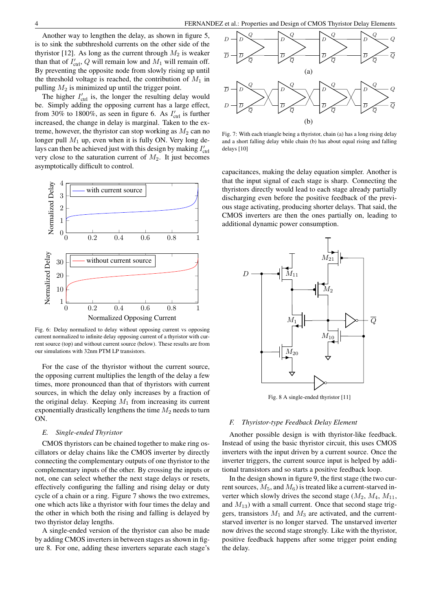Another way to lengthen the delay, as shown in figure [5,](#page-2-3) is to sink the subthreshold currents on the other side of the thyristor [\[12\]](#page-6-6). As long as the current through  $M_2$  is weaker than that of  $I'_{\text{ctrl}}$ , Q will remain low and  $M_1$  will remain off. By preventing the opposite node from slowly rising up until the threshold voltage is reached, the contribution of  $M_1$  in pulling  $M_2$  is minimized up until the trigger point.

The higher  $I'_{\text{ctrl}}$  is, the longer the resulting delay would be. Simply adding the opposing current has a large effect, from 30% to 1800%, as seen in figure [6.](#page-3-0) As  $I'_{\text{ctrl}}$  is further increased, the change in delay is marginal. Taken to the extreme, however, the thyristor can stop working as  $M_2$  can no longer pull  $M_1$  up, even when it is fully ON. Very long delays can then be achieved just with this design by making  $I'_{\text{ctrl}}$ very close to the saturation current of  $M_2$ . It just becomes asymptotically difficult to control.



<span id="page-3-0"></span>Fig. 6: Delay normalized to delay without opposing current vs opposing current normalized to infinite delay opposing current of a thyristor with current source (top) and without current source (below). These results are from our simulations with 32nm PTM LP transistors.

For the case of the thyristor without the current source, the opposing current multiplies the length of the delay a few times, more pronounced than that of thyristors with current sources, in which the delay only increases by a fraction of the original delay. Keeping  $M_1$  from increasing its current exponentially drastically lengthens the time  $M_2$  needs to turn ON.

# *E. Single-ended Thyristor*

CMOS thyristors can be chained together to make ring oscillators or delay chains like the CMOS inverter by directly connecting the complementary outputs of one thyristor to the complementary inputs of the other. By crossing the inputs or not, one can select whether the next stage delays or resets, effectively configuring the falling and rising delay or duty cycle of a chain or a ring. Figure [7](#page-3-1) shows the two extremes, one which acts like a thyristor with four times the delay and the other in which both the rising and falling is delayed by two thyristor delay lengths.

A single-ended version of the thyristor can also be made by adding CMOS inverters in between stages as shown in figure [8.](#page-3-2) For one, adding these inverters separate each stage's



<span id="page-3-1"></span>Fig. 7: With each triangle being a thyristor, chain (a) has a long rising delay and a short falling delay while chain (b) has about equal rising and falling delays [\[10\]](#page-6-4)

capacitances, making the delay equation simpler. Another is that the input signal of each stage is sharp. Connecting the thyristors directly would lead to each stage already partially discharging even before the positive feedback of the previous stage activating, producing shorter delays. That said, the CMOS inverters are then the ones partially on, leading to additional dynamic power consumption.



<span id="page-3-2"></span>Fig. 8 A single-ended thyristor [\[11\]](#page-6-5)

## *F. Thyristor-type Feedback Delay Element*

Another possible design is with thyristor-like feedback. Instead of using the basic thyristor circuit, this uses CMOS inverters with the input driven by a current source. Once the inverter triggers, the current source input is helped by additional transistors and so starts a positive feedback loop.

In the design shown in figure [9,](#page-4-0) the first stage (the two current sources,  $M_5$ , and  $M_6$ ) is treated like a current-starved inverter which slowly drives the second stage  $(M_2, M_4, M_{11})$ , and  $M_{13}$ ) with a small current. Once that second stage triggers, transistors  $M_1$  and  $M_3$  are activated, and the currentstarved inverter is no longer starved. The unstarved inverter now drives the second stage strongly. Like with the thyristor, positive feedback happens after some trigger point ending the delay.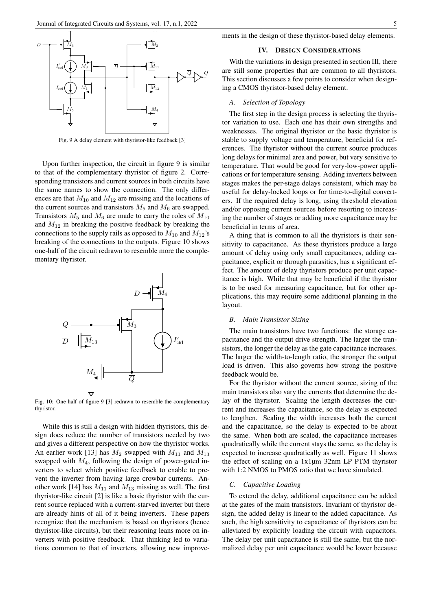

<span id="page-4-0"></span>Fig. 9 A delay element with thyristor-like feedback [\[3\]](#page-5-2)

Upon further inspection, the circuit in figure [9](#page-4-0) is similar to that of the complementary thyristor of figure [2.](#page-1-1) Corresponding transistors and current sources in both circuits have the same names to show the connection. The only differences are that  $M_{10}$  and  $M_{12}$  are missing and the locations of the current sources and transistors  $M_5$  and  $M_6$  are swapped. Transistors  $M_5$  and  $M_6$  are made to carry the roles of  $M_{10}$ and  $M_{12}$  in breaking the positive feedback by breaking the connections to the supply rails as opposed to  $M_{10}$  and  $M_{12}$ 's breaking of the connections to the outputs. Figure [10](#page-4-1) shows one-half of the circuit redrawn to resemble more the complementary thyristor.



<span id="page-4-1"></span>Fig. 10: One half of figure [9](#page-4-0) [\[3\]](#page-5-2) redrawn to resemble the complementary thyristor.

While this is still a design with hidden thyristors, this design does reduce the number of transistors needed by two and gives a different perspective on how the thyristor works. An earlier work [\[13\]](#page-6-7) has  $M_2$  swapped with  $M_{11}$  and  $M_{13}$ swapped with  $M_4$ , following the design of power-gated inverters to select which positive feedback to enable to prevent the inverter from having large crowbar currents. An-other work [\[14\]](#page-6-8) has  $M_{11}$  and  $M_{13}$  missing as well. The first thyristor-like circuit [\[2\]](#page-5-1) is like a basic thyristor with the current source replaced with a current-starved inverter but there are already hints of all of it being inverters. These papers recognize that the mechanism is based on thyristors (hence thyristor-like circuits), but their reasoning leans more on inverters with positive feedback. That thinking led to variations common to that of inverters, allowing new improve-

# IV. DESIGN CONSIDERATIONS

With the variations in design presented in section III, there are still some properties that are common to all thyristors. This section discusses a few points to consider when designing a CMOS thyristor-based delay element.

## *A. Selection of Topology*

The first step in the design process is selecting the thyristor variation to use. Each one has their own strengths and weaknesses. The original thyristor or the basic thyristor is stable to supply voltage and temperature, beneficial for references. The thyristor without the current source produces long delays for minimal area and power, but very sensitive to temperature. That would be good for very-low-power applications or for temperature sensing. Adding inverters between stages makes the per-stage delays consistent, which may be useful for delay-locked loops or for time-to-digital converters. If the required delay is long, using threshold elevation and/or opposing current sources before resorting to increasing the number of stages or adding more capacitance may be beneficial in terms of area.

A thing that is common to all the thyristors is their sensitivity to capacitance. As these thyristors produce a large amount of delay using only small capacitances, adding capacitance, explicit or through parasitics, has a significant effect. The amount of delay thyristors produce per unit capacitance is high. While that may be beneficial if the thyristor is to be used for measuring capacitance, but for other applications, this may require some additional planning in the layout.

# *B. Main Transistor Sizing*

The main transistors have two functions: the storage capacitance and the output drive strength. The larger the transistors, the longer the delay as the gate capacitance increases. The larger the width-to-length ratio, the stronger the output load is driven. This also governs how strong the positive feedback would be.

For the thyristor without the current source, sizing of the main transistors also vary the currents that determine the delay of the thyristor. Scaling the length decreases the current and increases the capacitance, so the delay is expected to lengthen. Scaling the width increases both the current and the capacitance, so the delay is expected to be about the same. When both are scaled, the capacitance increases quadratically while the current stays the same, so the delay is expected to increase quadratically as well. Figure [11](#page-5-5) shows the effect of scaling on a 1x1µm 32nm LP PTM thyristor with 1:2 NMOS to PMOS ratio that we have simulated.

## *C. Capacitive Loading*

To extend the delay, additional capacitance can be added at the gates of the main transistors. Invariant of thyristor design, the added delay is linear to the added capacitance. As such, the high sensitivity to capacitance of thyristors can be alleviated by explicitly loading the circuit with capacitors. The delay per unit capacitance is still the same, but the normalized delay per unit capacitance would be lower because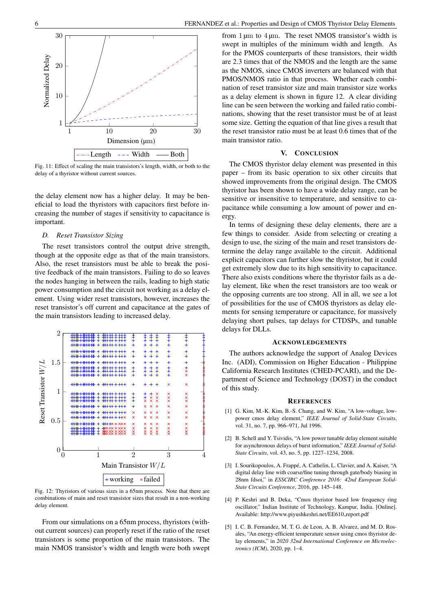

<span id="page-5-5"></span>Fig. 11: Effect of scaling the main transistors's length, width, or both to the delay of a thyristor without current sources.

the delay element now has a higher delay. It may be beneficial to load the thyristors with capacitors first before increasing the number of stages if sensitivity to capacitance is important.

# *D. Reset Transistor Sizing*

The reset transistors control the output drive strength, though at the opposite edge as that of the main transistors. Also, the reset transistors must be able to break the positive feedback of the main transistors. Failing to do so leaves the nodes hanging in between the rails, leading to high static power consumption and the circuit not working as a delay element. Using wider reset transistors, however, increases the reset transistor's off current and capacitance at the gates of the main transistors leading to increased delay.



<span id="page-5-6"></span>Fig. 12: Thyristors of various sizes in a 65nm process. Note that there are combinations of main and reset transistor sizes that result in a non-working delay element.

From our simulations on a 65nm process, thyristors (without current sources) can properly reset if the ratio of the reset transistors is some proportion of the main transistors. The main NMOS transistor's width and length were both swept from  $1 \mu m$  to  $4 \mu m$ . The reset NMOS transistor's width is swept in multiples of the minimum width and length. As for the PMOS counterparts of these transistors, their width are 2.3 times that of the NMOS and the length are the same as the NMOS, since CMOS inverters are balanced with that PMOS/NMOS ratio in that process. Whether each combination of reset transistor size and main transistor size works as a delay element is shown in figure [12.](#page-5-6) A clear dividing line can be seen between the working and failed ratio combinations, showing that the reset transistor must be of at least some size. Getting the equation of that line gives a result that the reset transistor ratio must be at least 0.6 times that of the main transistor ratio.

#### V. CONCLUSION

The CMOS thyristor delay element was presented in this paper – from its basic operation to six other circuits that showed improvements from the original design. The CMOS thyristor has been shown to have a wide delay range, can be sensitive or insensitive to temperature, and sensitive to capacitance while consuming a low amount of power and energy.

In terms of designing these delay elements, there are a few things to consider. Aside from selecting or creating a design to use, the sizing of the main and reset transistors determine the delay range available to the circuit. Additional explicit capacitors can further slow the thyristor, but it could get extremely slow due to its high sensitivity to capacitance. There also exists conditions where the thyristor fails as a delay element, like when the reset transistors are too weak or the opposing currents are too strong. All in all, we see a lot of possibilities for the use of CMOS thyristors as delay elements for sensing temperature or capacitance, for massively delaying short pulses, tap delays for CTDSPs, and tunable delays for DLLs.

#### ACKNOWLEDGEMENTS

The authors acknowledge the support of Analog Devices Inc. (ADI), Commission on Higher Education - Philippine California Research Institutes (CHED-PCARI), and the Department of Science and Technology (DOST) in the conduct of this study.

#### **REFERENCES**

- <span id="page-5-0"></span>[1] G. Kim, M.-K. Kim, B.-S. Chang, and W. Kim, "A low-voltage, lowpower cmos delay element," *IEEE Journal of Solid-State Circuits*, vol. 31, no. 7, pp. 966–971, Jul 1996.
- <span id="page-5-1"></span>[2] B. Schell and Y. Tsividis, "A low power tunable delay element suitable for asynchronous delays of burst information," *IEEE Journal of Solid-State Circuits*, vol. 43, no. 5, pp. 1227–1234, 2008.
- <span id="page-5-2"></span>[3] I. Sourikopoulos, A. Frappé, A. Cathelin, L. Clavier, and A. Kaiser, "A digital delay line with coarse/fine tuning through gate/body biasing in 28nm fdsoi," in *ESSCIRC Conference 2016: 42nd European Solid-State Circuits Conference*, 2016, pp. 145–148.
- <span id="page-5-3"></span>[4] P. Keshri and B. Deka, "Cmos thyristor based low frequency ring oscillator," Indian Institute of Technology, Kampur, India. [Online]. Available: [http://www.piyushkeshri.net/EE610](http://www.piyushkeshri.net/EE610_report.pdf)\_report.pdf
- <span id="page-5-4"></span>[5] I. C. B. Fernandez, M. T. G. de Leon, A. B. Alvarez, and M. D. Rosales, "An energy-efficient temperature sensor using cmos thyristor delay elements," in *2020 32nd International Conference on Microelectronics (ICM)*, 2020, pp. 1–4.